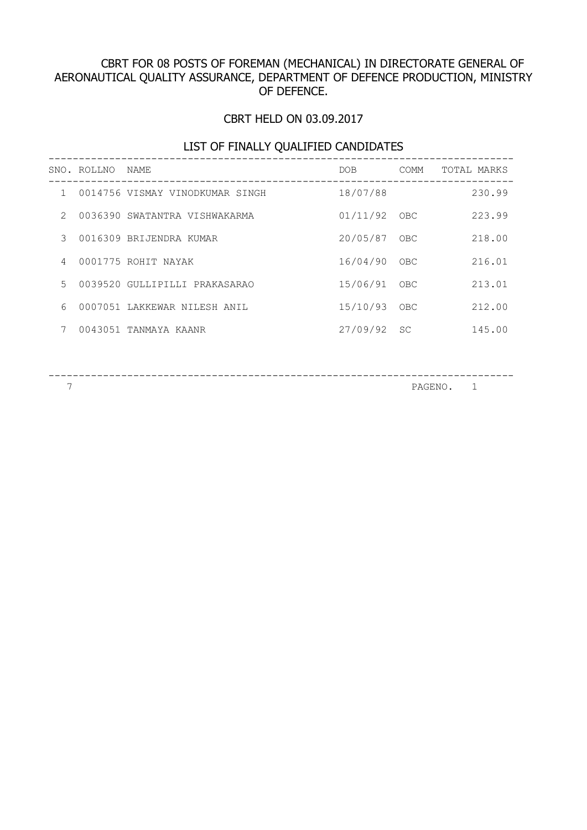# CBRT FOR 08 POSTS OF FOREMAN (MECHANICAL) IN DIRECTORATE GENERAL OF AERONAUTICAL QUALITY ASSURANCE, DEPARTMENT OF DEFENCE PRODUCTION, MINISTRY OF DEFENCE.

# CBRT HELD ON 03.09.2017

## LIST OF FINALLY QUALIFIED CANDIDATES

|                | SNO. ROLLNO NAME |                                 | DOB          | COMM      | TOTAL MARKS |
|----------------|------------------|---------------------------------|--------------|-----------|-------------|
| $\mathbf{1}$   |                  | 0014756 VISMAY VINODKUMAR SINGH | 18/07/88     |           | 230.99      |
| $\mathcal{P}$  |                  | 0036390 SWATANTRA VISHWAKARMA   | 01/11/92 OBC |           | 223.99      |
| 3              |                  | 0016309 BRIJENDRA KUMAR         | 20/05/87 OBC |           | 218.00      |
| $\overline{4}$ |                  | 0001775 ROHIT NAYAK             | 16/04/90     | OBC       | 216.01      |
| $5 -$          |                  | 0039520 GULLIPILLI PRAKASARAO   | 15/06/91 OBC |           | 213.01      |
| 6              |                  | 0007051 LAKKEWAR NILESH ANIL    | 15/10/93 OBC |           | 212.00      |
| 7              |                  | 0043051 TANMAYA KAANR           | 27/09/92     | <b>SC</b> | 145.00      |
|                |                  |                                 |              |           |             |

----------------------------------------------------------------------------- PAGENO. 1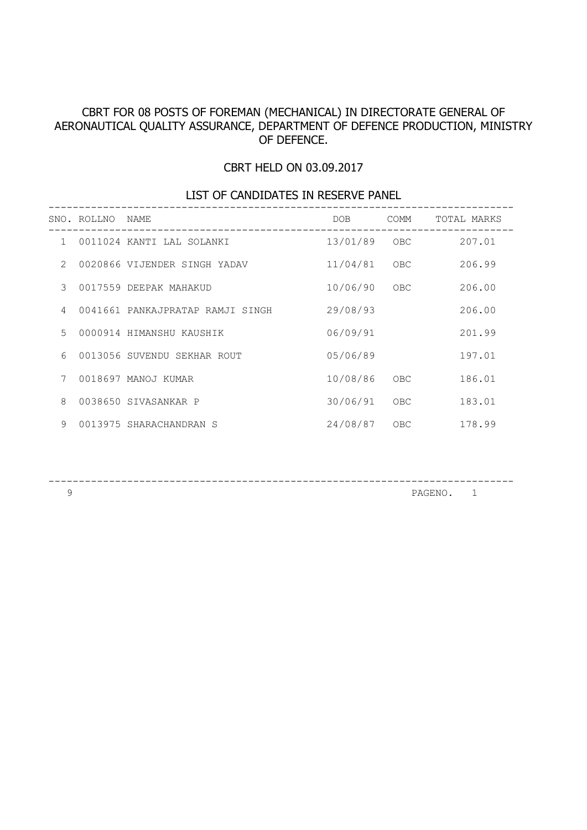#### CBRT FOR 08 POSTS OF FOREMAN (MECHANICAL) IN DIRECTORATE GENERAL OF AERONAUTICAL QUALITY ASSURANCE, DEPARTMENT OF DEFENCE PRODUCTION, MINISTRY OF DEFENCE.

#### CBRT HELD ON 03.09.2017

# LIST OF CANDIDATES IN RESERVE PANEL -----------------------------------------------------------------------------

|               | SNO. ROLLNO | NAME                             | DOB      | COMM | TOTAL MARKS |
|---------------|-------------|----------------------------------|----------|------|-------------|
| $\mathbf{1}$  |             | 0011024 KANTI LAL SOLANKI        | 13/01/89 | OBC  | 207.01      |
| $\mathcal{L}$ |             | 0020866 VIJENDER SINGH YADAV     | 11/04/81 | OBC  | 206.99      |
| 3             |             | 0017559 DEEPAK MAHAKUD           | 10/06/90 | OBC  | 206.00      |
| 4             |             | 0041661 PANKAJPRATAP RAMJI SINGH | 29/08/93 |      | 206.00      |
| 5             |             | 0000914 HIMANSHU KAUSHIK         | 06/09/91 |      | 201.99      |
| 6             |             | 0013056 SUVENDU SEKHAR ROUT      | 05/06/89 |      | 197.01      |
| 7             |             | 0018697 MANOJ KUMAR              | 10/08/86 | OBC  | 186.01      |
| 8             |             | 0038650 SIVASANKAR P             | 30/06/91 | OBC  | 183.01      |
| 9             |             | 0013975 SHARACHANDRAN S          | 24/08/87 | OBC  | 178.99      |

-----------------------------------------------------------------------------

PAGENO. 1